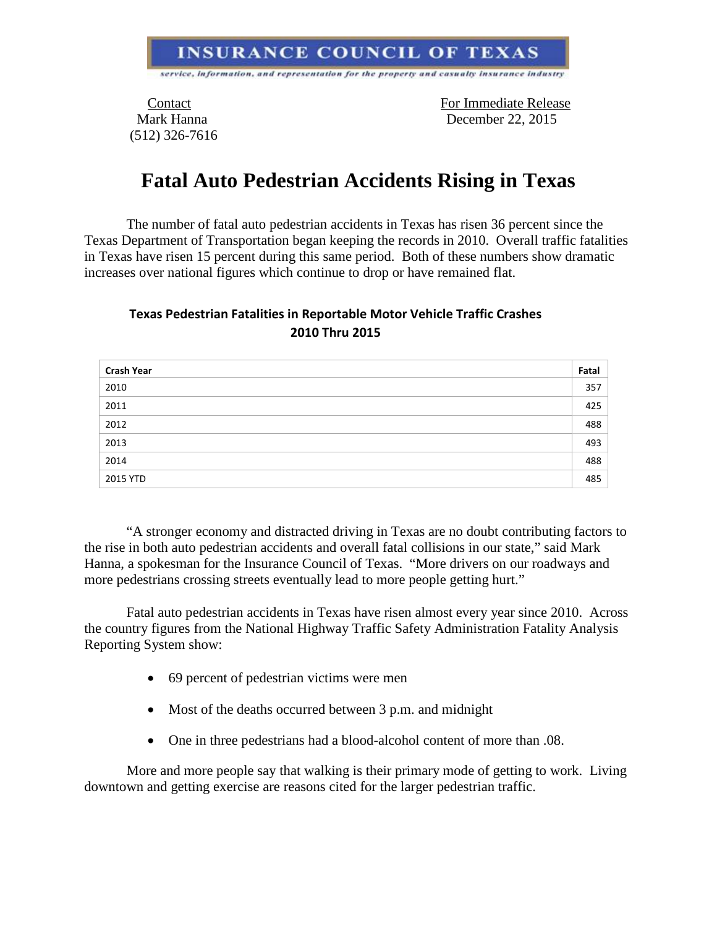## **INSURANCE COUNCIL OF TEXAS**

service, information, and representation for the property and casualty insurance industry

(512) 326-7616

Contact For Immediate Release Mark Hanna December 22, 2015

## **Fatal Auto Pedestrian Accidents Rising in Texas**

The number of fatal auto pedestrian accidents in Texas has risen 36 percent since the Texas Department of Transportation began keeping the records in 2010. Overall traffic fatalities in Texas have risen 15 percent during this same period. Both of these numbers show dramatic increases over national figures which continue to drop or have remained flat.

## **Texas Pedestrian Fatalities in Reportable Motor Vehicle Traffic Crashes 2010 Thru 2015**

| <b>Crash Year</b> | Fatal |
|-------------------|-------|
| 2010              | 357   |
| 2011              | 425   |
| 2012              | 488   |
| 2013              | 493   |
| 2014              | 488   |
| 2015 YTD          | 485   |

"A stronger economy and distracted driving in Texas are no doubt contributing factors to the rise in both auto pedestrian accidents and overall fatal collisions in our state," said Mark Hanna, a spokesman for the Insurance Council of Texas. "More drivers on our roadways and more pedestrians crossing streets eventually lead to more people getting hurt."

Fatal auto pedestrian accidents in Texas have risen almost every year since 2010. Across the country figures from the National Highway Traffic Safety Administration Fatality Analysis Reporting System show:

- 69 percent of pedestrian victims were men
- Most of the deaths occurred between 3 p.m. and midnight
- One in three pedestrians had a blood-alcohol content of more than .08.

More and more people say that walking is their primary mode of getting to work. Living downtown and getting exercise are reasons cited for the larger pedestrian traffic.